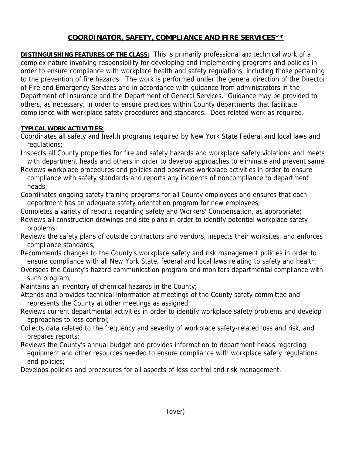## **COORDINATOR, SAFETY, COMPLIANCE AND FIRE SERVICES\*\***

**DISTINGUISHING FEATURES OF THE CLASS:** This is primarily professional and technical work of a complex nature involving responsibility for developing and implementing programs and policies in order to ensure compliance with workplace health and safety regulations, including those pertaining to the prevention of fire hazards. The work is performed under the general direction of the Director of Fire and Emergency Services and in accordance with guidance from administrators in the Department of Insurance and the Department of General Services. Guidance may be provided to others, as necessary, in order to ensure practices within County departments that facilitate compliance with workplace safety procedures and standards. Does related work as required.

## **TYPICAL WORK ACTIVITIES:**

- Coordinates all safety and health programs required by New York State Federal and local laws and regulations;
- Inspects all County properties for fire and safety hazards and workplace safety violations and meets with department heads and others in order to develop approaches to eliminate and prevent same;
- Reviews workplace procedures and policies and observes workplace activities in order to ensure compliance with safety standards and reports any incidents of noncompliance to department heads;
- Coordinates ongoing safety training programs for all County employees and ensures that each department has an adequate safety orientation program for new employees;
- Completes a variety of reports regarding safety and Workers' Compensation, as appropriate; Reviews all construction drawings and site plans in order to identify potential workplace safety problems;
- Reviews the safety plans of outside contractors and vendors, inspects their worksites, and enforces compliance standards;
- Recommends changes to the County's workplace safety and risk management policies in order to ensure compliance with all New York State, federal and local laws relating to safety and health;
- Oversees the County's hazard communication program and monitors departmental compliance with such program;
- Maintains an inventory of chemical hazards in the County;
- Attends and provides technical information at meetings of the County safety committee and represents the County at other meetings as assigned;
- Reviews current departmental activities in order to identify workplace safety problems and develop approaches to loss control;
- Collects data related to the frequency and severity of workplace safety-related loss and risk, and prepares reports;
- Reviews the County's annual budget and provides information to department heads regarding equipment and other resources needed to ensure compliance with workplace safety regulations and policies;
- Develops policies and procedures for all aspects of loss control and risk management.